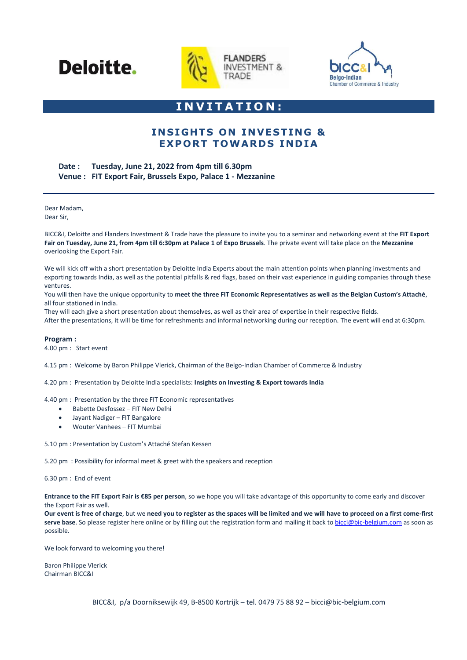Deloitte.





# **I N V I T A T I O N :**

## **INSIGHTS ON INVESTING & EXPORT TOWARDS INDIA**

### **Date : Tuesday, June 21, 2022 from 4pm till 6.30pm Venue : FIT Export Fair, Brussels Expo, Palace 1 - Mezzanine**

Dear Madam, Dear Sir,

BICC&I, Deloitte and Flanders Investment & Trade have the pleasure to invite you to a seminar and networking event at the **FIT Export Fair on Tuesday, June 21, from 4pm till 6:30pm at Palace 1 of Expo Brussels**. The private event will take place on the **Mezzanine** overlooking the Export Fair.

We will kick off with a short presentation by Deloitte India Experts about the main attention points when planning investments and exporting towards India, as well as the potential pitfalls & red flags, based on their vast experience in guiding companies through these ventures.

You will then have the unique opportunity to **meet the three FIT Economic Representatives as well as the Belgian Custom's Attaché**, all four stationed in India.

They will each give a short presentation about themselves, as well as their area of expertise in their respective fields.

After the presentations, it will be time for refreshments and informal networking during our reception. The event will end at 6:30pm.

#### **Program :**

4.00 pm : Start event

4.15 pm : Welcome by Baron Philippe Vlerick, Chairman of the Belgo-Indian Chamber of Commerce & Industry

4.20 pm : Presentation by Deloitte India specialists: **Insights on Investing & Export towards India**

4.40 pm : Presentation by the three FIT Economic representatives

- Babette Desfossez FIT New Delhi
- Jayant Nadiger FIT Bangalore
- Wouter Vanhees FIT Mumbai

5.10 pm : Presentation by Custom's Attaché Stefan Kessen

5.20 pm : Possibility for informal meet & greet with the speakers and reception

6.30 pm : End of event

**Entrance to the FIT Export Fair is €85 per person**, so we hope you will take advantage of this opportunity to come early and discover the Export Fair as well.

**Our event is free of charge**, but we **need you to register as the spaces will be limited and we will have to proceed on a first come-first**  serve base. So please register here online or by filling out the registration form and mailing it back t[o bicci@bic-belgium.com](mailto:bicci@bic-belgium.com) as soon as possible.

We look forward to welcoming you there!

Baron Philippe Vlerick Chairman BICC&I